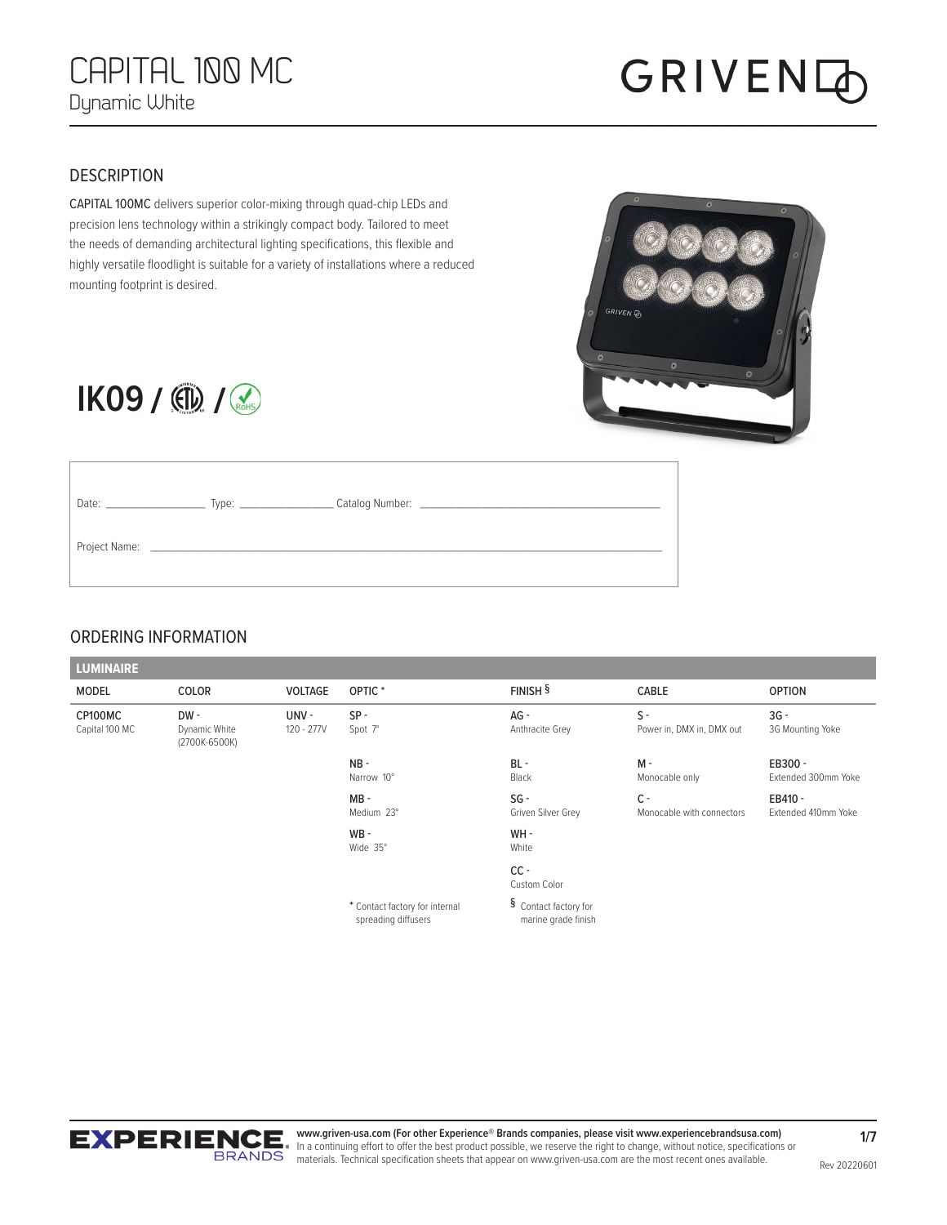## **GRIVEN**

#### **DESCRIPTION**

CAPITAL 100MC delivers superior color-mixing through quad-chip LEDs and precision lens technology within a strikingly compact body. Tailored to meet the needs of demanding architectural lighting specifications, this flexible and highly versatile floodlight is suitable for a variety of installations where a reduced mounting footprint is desired.



### **IK09** / (D) / (RoHs)

| Date: Date:   |                                                                                                                         |  |
|---------------|-------------------------------------------------------------------------------------------------------------------------|--|
| Project Name: | <u> 1989 - Johann Harry Harry Barnett, amerikan besteht als den besteht als der der besteht als der der besteht als</u> |  |

#### ORDERING INFORMATION

| <b>LUMINAIRE</b>          |                                       |                    |                                                       |                                              |                                    |                                |
|---------------------------|---------------------------------------|--------------------|-------------------------------------------------------|----------------------------------------------|------------------------------------|--------------------------------|
| <b>MODEL</b>              | COLOR                                 | <b>VOLTAGE</b>     | OPTIC <sup>*</sup>                                    | $FINISH$ <sup>§</sup>                        | CABLE                              | <b>OPTION</b>                  |
| CP100MC<br>Capital 100 MC | DW-<br>Dynamic White<br>(2700K-6500K) | UNV-<br>120 - 277V | $SP -$<br>Spot 7°                                     | $AG -$<br>Anthracite Grey                    | $S -$<br>Power in, DMX in, DMX out | $3G -$<br>3G Mounting Yoke     |
|                           |                                       |                    | $NB -$<br>Narrow 10°                                  | $BL -$<br>Black                              | $M -$<br>Monocable only            | EB300 -<br>Extended 300mm Yoke |
|                           |                                       |                    | $MB -$<br>Medium 23°                                  | $SG -$<br>Griven Silver Grey                 | $C -$<br>Monocable with connectors | EB410 -<br>Extended 410mm Yoke |
|                           |                                       |                    | $WB -$<br>Wide 35°                                    | WH-<br>White                                 |                                    |                                |
|                           |                                       |                    |                                                       | $CC -$<br>Custom Color                       |                                    |                                |
|                           |                                       |                    | * Contact factory for internal<br>spreading diffusers | § Contact factory for<br>marine grade finish |                                    |                                |



**www.griven-usa.com (For other Experience® Brands companies, please visit www.experiencebrandsusa.com)** In a continuing effort to offer the best product possible, we reserve the right to change, without notice, specifications or **ERANDS** materials. Technical specification sheets that appear on www.griven-usa.com are the most recent ones available.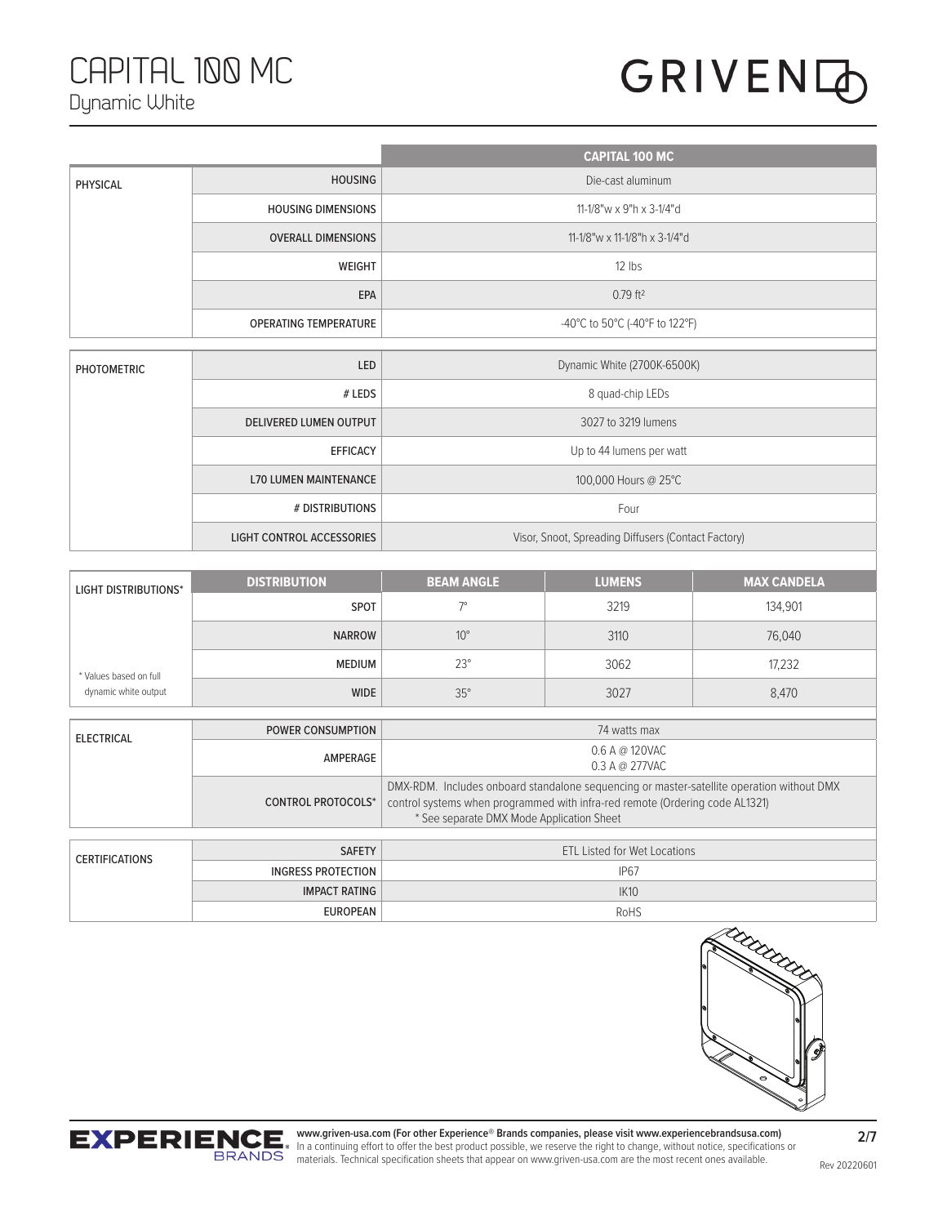### CAPITAL 100 MC Dynamic White

# **GRIVEN**

|                    |                                  | <b>CAPITAL 100 MC</b>                               |
|--------------------|----------------------------------|-----------------------------------------------------|
| PHYSICAL           | <b>HOUSING</b>                   | Die-cast aluminum                                   |
|                    | <b>HOUSING DIMENSIONS</b>        | 11-1/8"w x 9"h x 3-1/4"d                            |
|                    | <b>OVERALL DIMENSIONS</b>        | 11-1/8"w x 11-1/8"h x 3-1/4"d                       |
|                    | <b>WEIGHT</b>                    | 12 lbs                                              |
|                    | EPA                              | $0.79$ ft <sup>2</sup>                              |
|                    | <b>OPERATING TEMPERATURE</b>     | -40°C to 50°C (-40°F to 122°F)                      |
|                    |                                  |                                                     |
| <b>PHOTOMETRIC</b> | LED                              | Dynamic White (2700K-6500K)                         |
|                    | # LEDS                           | 8 quad-chip LEDs                                    |
|                    | <b>DELIVERED LUMEN OUTPUT</b>    | 3027 to 3219 lumens                                 |
|                    | <b>EFFICACY</b>                  | Up to 44 lumens per watt                            |
|                    | <b>L70 LUMEN MAINTENANCE</b>     | 100,000 Hours @ 25°C                                |
|                    | # DISTRIBUTIONS                  | Four                                                |
|                    | <b>LIGHT CONTROL ACCESSORIES</b> | Visor, Snoot, Spreading Diffusers (Contact Factory) |

| <b>LIGHT DISTRIBUTIONS*</b>                    | <b>DISTRIBUTION</b> | <b>BEAM ANGLE</b> | <b>LUMENS</b> | <b>MAX CANDELA</b> |
|------------------------------------------------|---------------------|-------------------|---------------|--------------------|
|                                                | <b>SPOT</b>         |                   | 3219          | 134.901            |
|                                                | <b>NARROW</b>       | $10^{\circ}$      | 3110          | 76,040             |
| * Values based on full<br>dynamic white output | <b>MEDIUM</b>       | $23^\circ$        | 3062          | 17,232             |
|                                                | <b>WIDE</b>         | $35^\circ$        | 3027          | 8,470              |

| <b>ELECTRICAL</b> | <b>POWER CONSUMPTION</b> | 74 watts max                                                                                                                                                                                                           |  |
|-------------------|--------------------------|------------------------------------------------------------------------------------------------------------------------------------------------------------------------------------------------------------------------|--|
|                   | AMPERAGE                 | $0.6$ A @ 120VAC<br>0.3 A @ 277VAC                                                                                                                                                                                     |  |
|                   | CONTROL PROTOCOLS*       | DMX-RDM. Includes onboard standalone sequencing or master-satellite operation without DMX<br>control systems when programmed with infra-red remote (Ordering code AL1321)<br>* See separate DMX Mode Application Sheet |  |
|                   |                          |                                                                                                                                                                                                                        |  |

| <b>CERTIFICATIONS</b> | <b>SAFETY</b><br><b>ETL Listed for Wet Locations</b> |                  |
|-----------------------|------------------------------------------------------|------------------|
|                       | INGRESS PROTECTION                                   | IP <sub>67</sub> |
|                       | <b>IMPACT RATING</b>                                 | <b>IK10</b>      |
|                       | EUROPEAN                                             | RoHS             |



**2/7**

**www.griven-usa.com (For other Experience® Brands companies, please visit www.experiencebrandsusa.com)** In a continuing effort to offer the best product possible, we reserve the right to change, without notice, specifications or **ERANDS** materials. Technical specification sheets that appear on www.griven-usa.com are the most recent ones available.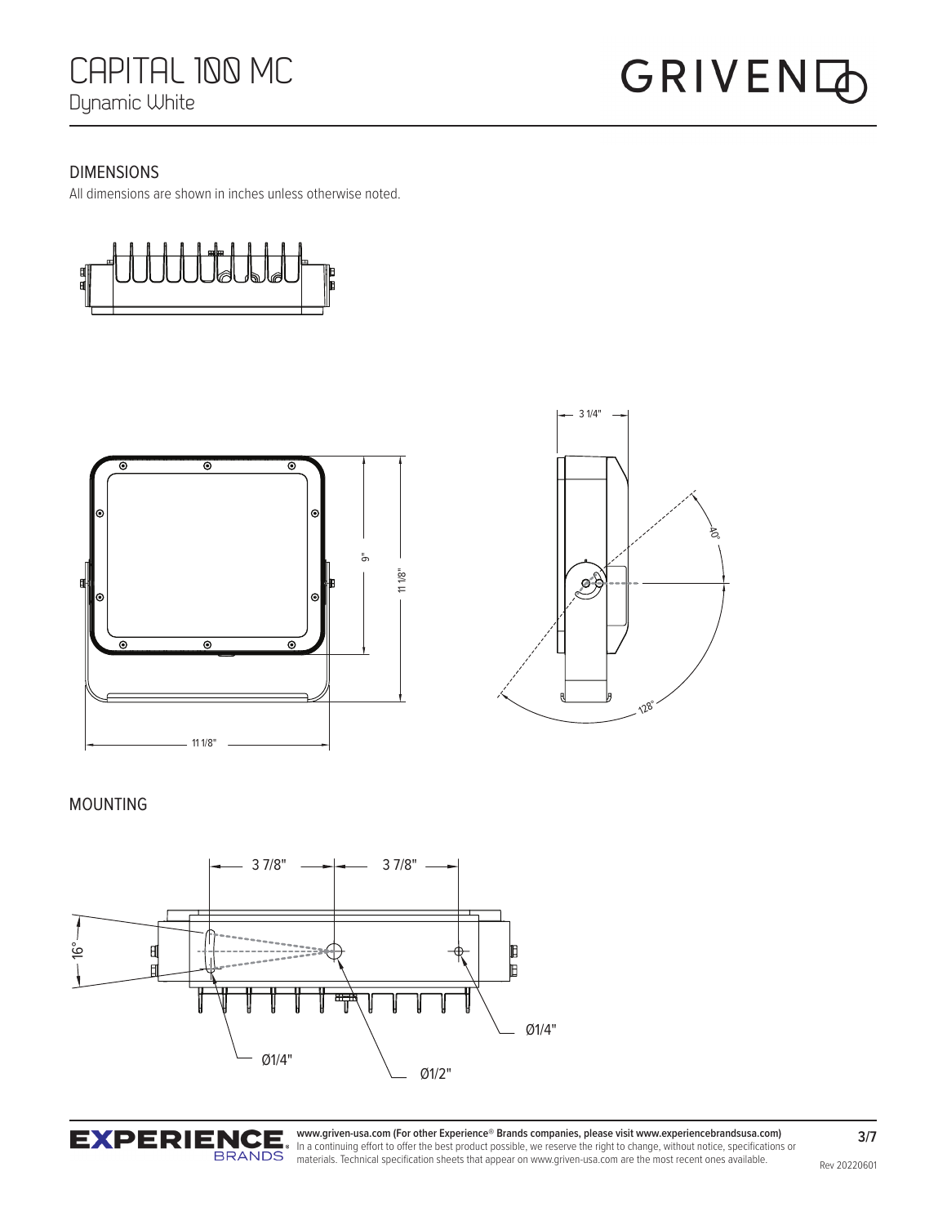#### DIMENSIONS

All dimensions are shown in inches unless otherwise noted.





#### MOUNTING





**3/7**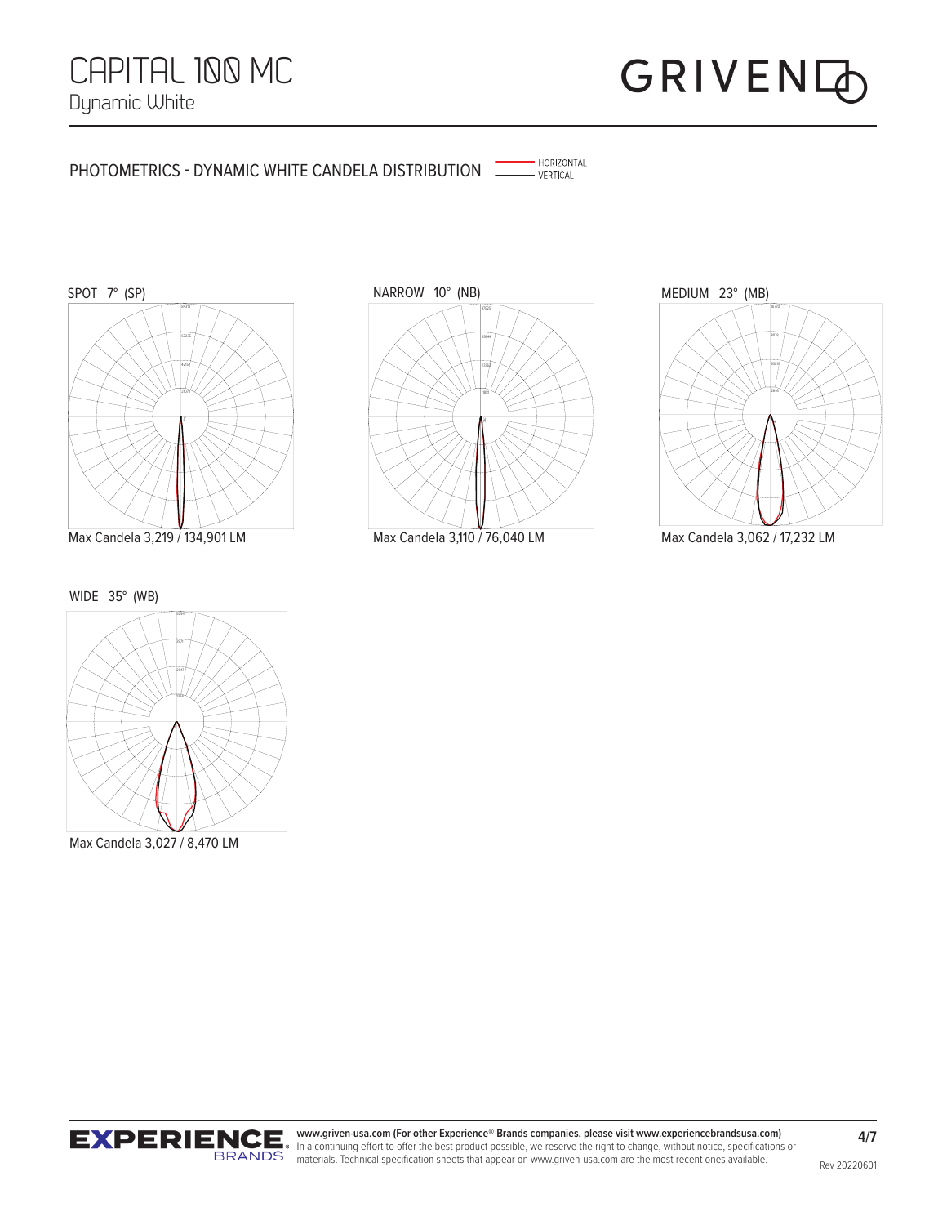#### PHOTOMETRICS - DYNAMIC WHITE CANDELA DISTRIBUTION THE NURICAL



Max Candela 3,219 / 134,901 LM Max Candela 3,062 / 17,232 LM Max Candela 3,110 / 76,040 LM



· HORIZONTAL



WIDE 35° (WB)



Max Candela 3,027 / 8,470 LM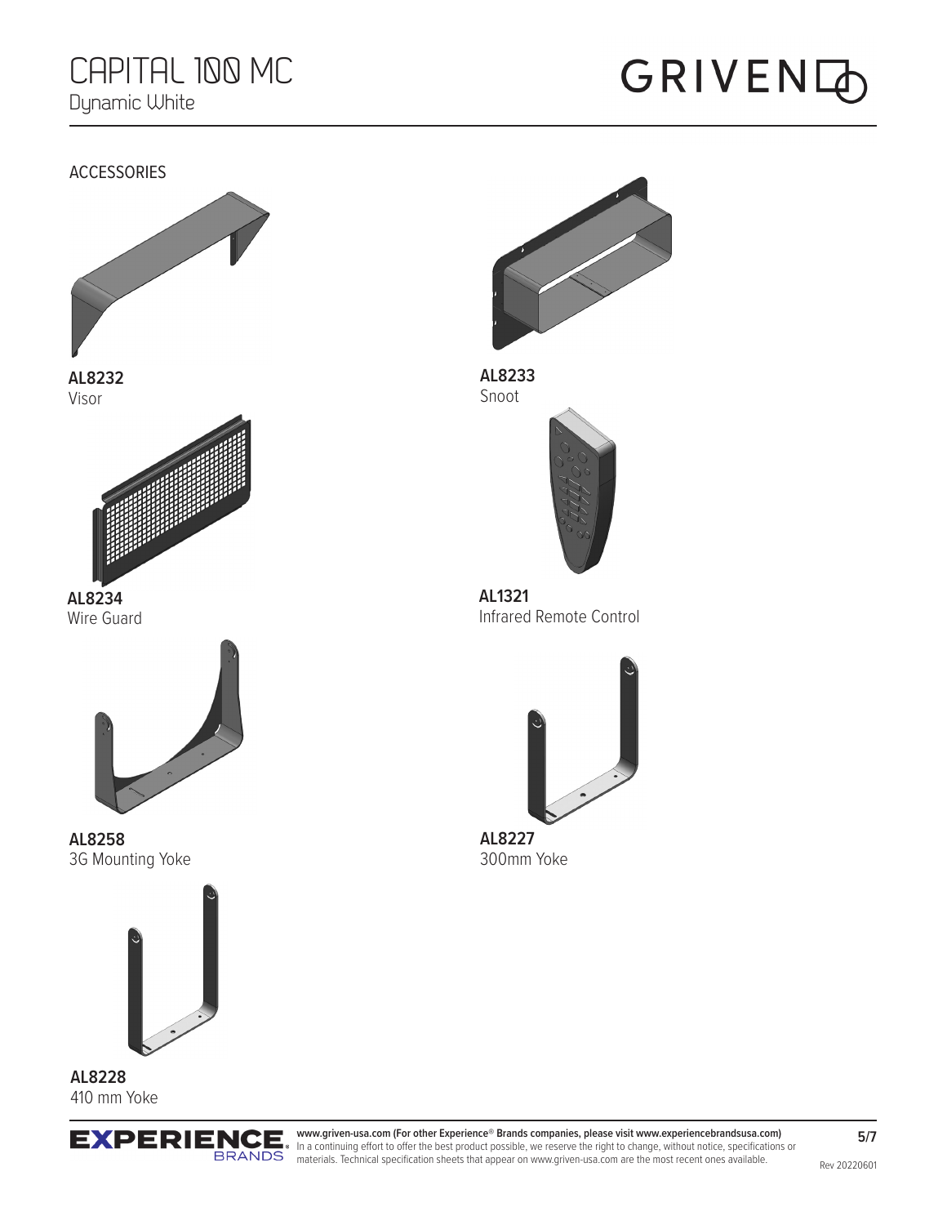### GRIVENQ





**AL8233** Snoot



**AL1321** Infrared Remote Control



**AL8227** 300mm Yoke

**www.griven-usa.com (For other Experience® Brands companies, please visit www.experiencebrandsusa.com) EXPERIENCE** In a continuing effort to offer the best product possible, we reserve the right to change, without notice, specifications or **ERANDS** materials. Technical specification sheets that appear on www.griven-usa.com are the most recent ones available.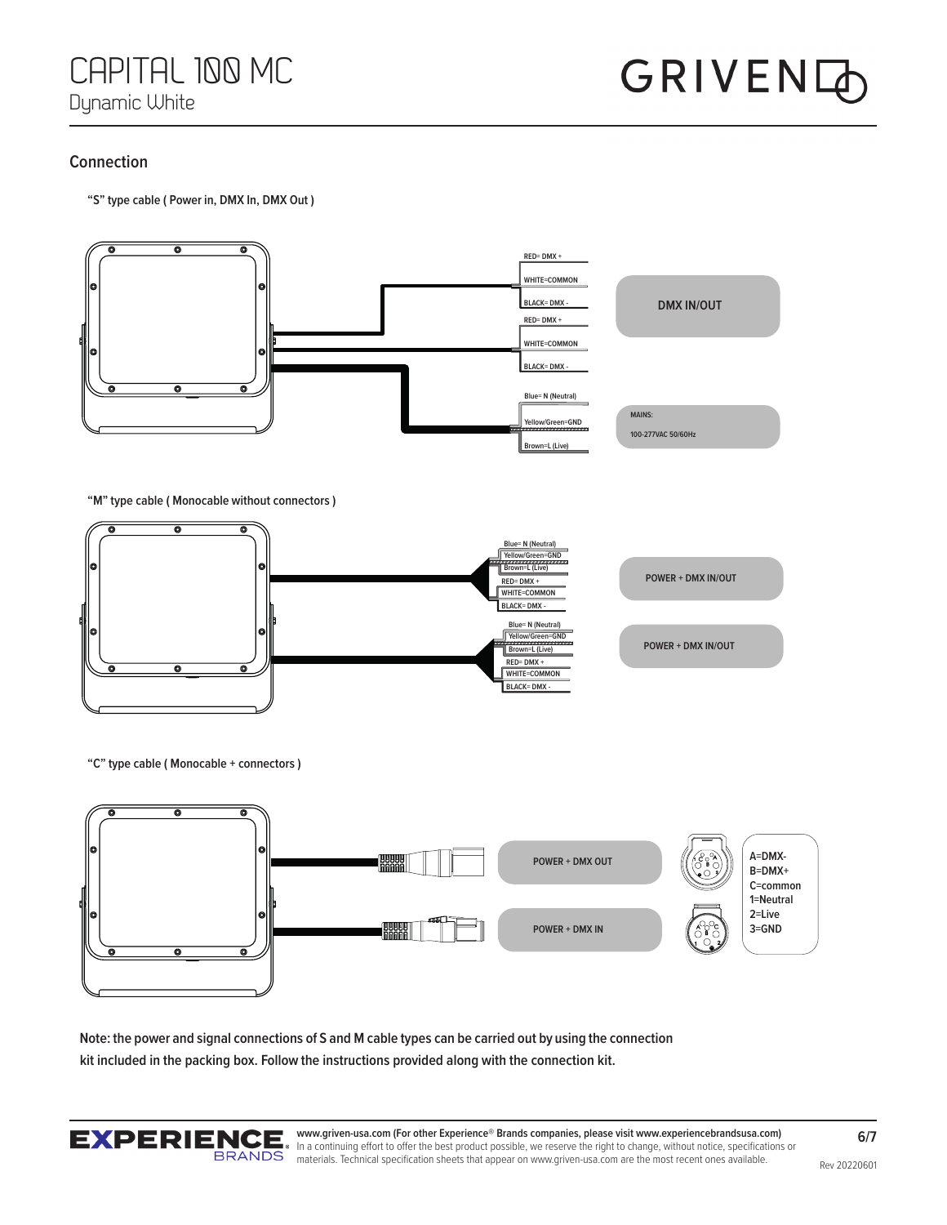#### **Connection**

**"S" type cable ( Power in, DMX In, DMX Out )**



**"C" type cable ( Monocable + connectors )**



**Note: the power and signal connections of S and M cable types can be carried out by using the connection kit included in the packing box. Follow the instructions provided along with the connection kit.**